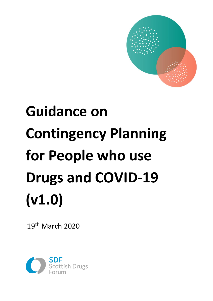

# **Guidance on Contingency Planning for People who use Drugs and COVID-19 (v1.0)**

19th March 2020

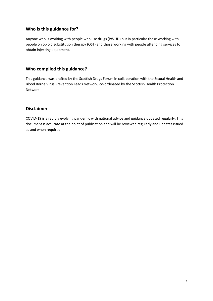# **Who is this guidance for?**

Anyone who is working with people who use drugs (PWUD) but in particular those working with people on opioid substitution therapy (OST) and those working with people attending services to obtain injecting equipment.

# **Who compiled this guidance?**

This guidance was drafted by the Scottish Drugs Forum in collaboration with the Sexual Health and Blood Borne Virus Prevention Leads Network, co-ordinated by the Scottish Health Protection Network.

## **Disclaimer**

COVID-19 is a rapidly evolving pandemic with national advice and guidance updated regularly. This document is accurate at the point of publication and will be reviewed regularly and updates issued as and when required.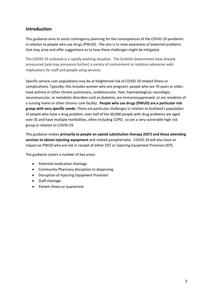# **Introduction**

This guidance aims to assist contingency planning for the consequences of the COVID-19 pandemic in relation to people who use drugs (PWUD). The aim is to raise awareness of potential problems that may arise and offer suggestions as to how these challenges might be mitigated.

The COVID-19 outbreak is a rapidly evolving situation. The Scottish Government have already announced [and may announce further] a variety of containment or isolation advisories with implications for staff and people using services.

Specific service-user populations may be at heightened risk of COVID-19 related illness or complications. Typically, this includes women who are pregnant, people who are 70 years or older; have asthma or other chronic pulmonary, cardiovascular, liver, haematological, neurologic, neuromuscular, or metabolic disorders such as diabetes; are immunosuppressed; or are residents of a nursing home or other chronic-care facility. **People who use drugs (PWUD) are a particular risk group with very specific needs.** There are particular challenges in relation to Scotland's population of people who have a drug problem: over half of the 60,000 people with drug problems are aged over 35 and have multiple morbidities, often including COPD, so are a very vulnerable high risk group in relation to COVID-19.

This guidance relates **primarily to people on opioid substitution therapy (OST) and those attending services to obtain injecting equipment** and related paraphernalia. COVID-19 will also have an impact on PWUD who are not in receipt of either OST or Injecting Equipment Provision (IEP).

The guidance covers a number of key areas:

- Potential medication shortage
- Community Pharmacy disruption to dispensing
- Disruption of Injecting Equipment Provision
- Staff shortage
- Patient illness or quarantine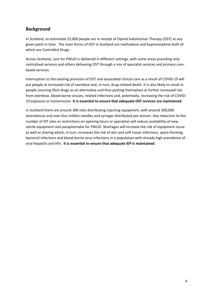# **Background**

In Scotland, an estimated 25,000 people are in receipt of Opioid Substitution Therapy (OST) at any given point in time. The main forms of OST in Scotland are methadone and buprenorphine both of which are Controlled Drugs.

Across Scotland, care for PWUD is delivered in different settings, with some areas providing only centralised services and others delivering OST through a mix of specialist services and primary carebased services.

Interruption to the existing provision of OST and associated clinical care as a result of COVID-19 will put people at increased risk of overdose and, in turn, drug-related death. It is also likely to result in people sourcing illicit drugs as an alternative and thus putting themselves at further increased risk from overdose, blood-borne viruses, related infections and, potentially, increasing the risk of COVID-19 exposure or transmission. **It is essential to ensure that adequate OST services are maintained**.

In Scotland there are around 300 sites distributing injecting equipment, with around 300,000 attendances and over four million needles and syringes distributed per annum. Any reduction to the number of IEP sites or restrictions on opening hours or operation will reduce availability of new, sterile equipment and paraphernalia for PWUD. Shortages will increase the risk of equipment reuse as well as sharing which, in turn, increases the risk of skin and soft tissue infections, spore-forming bacterial infections and blood-borne virus infections in a population with already high prevalence of viral hepatitis and HIV. **It is essential to ensure that adequate IEP is maintained**.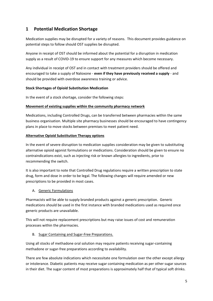# **1 Potential Medication Shortage**

Medication supplies may be disrupted for a variety of reasons. This document provides guidance on potential steps to follow should OST supplies be disrupted.

Anyone in receipt of OST should be informed about the potential for a disruption in medication supply as a result of COVID-19 to ensure support for any measures which become necessary.

Any individual in receipt of OST and in contact with treatment providers should be offered and encouraged to take a supply of Naloxone - **even if they have previously received a supply** - and should be provided with overdose awareness training or advice.

#### **Stock Shortages of Opioid Substitution Medication**

In the event of a stock shortage, consider the following steps:

## **Movement of existing supplies within the community pharmacy network**

Medications, including Controlled Drugs, can be transferred between pharmacies within the same business organisation. Multiple site pharmacy businesses should be encouraged to have contingency plans in place to move stocks between premises to meet patient need.

## **Alternative Opioid Substitution Therapy options**

In the event of severe disruption to medication supplies consideration may be given to substituting alternative opioid agonist formulations or medications. Consideration should be given to ensure no contraindications exist, such as injecting risk or known allergies to ingredients, prior to recommending the switch.

It is also important to note that Controlled Drug regulations require a written prescription to state drug, form and dose in order to be legal. The following changes will require amended or new prescriptions to be provided in most cases.

## A. Generic Formulations

Pharmacists will be able to supply branded products against a generic prescription. Generic medications should be used in the first instance with branded medications used as required once generic products are unavailable.

This will not require replacement prescriptions but may raise issues of cost and remuneration processes within the pharmacies.

## B. Sugar Containing and Sugar-Free Preparations.

Using all stocks of methadone oral solution may require patients receiving sugar-containing methadone or sugar-free preparations according to availability.

There are few absolute indications which necessitate one formulation over the other except allergy or intolerance. Diabetic patients may receive sugar containing medication as per other sugar sources in their diet. The sugar content of most preparations is approximately half that of typical soft drinks.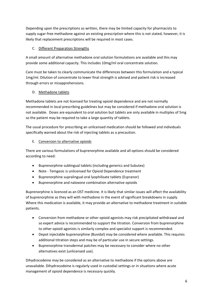Depending upon the prescriptions as written, there may be limited capacity for pharmacists to supply sugar-free methadone against an existing prescription where this is not stated, however, it is likely that replacement prescriptions will be required in most cases.

## C. Different Preparation Strengths

A small amount of alternative methadone oral solution formulations are available and this may provide some additional capacity. This includes 10mg/ml oral concentrate solution.

Care must be taken to clearly communicate the differences between this formulation and a typical 1mg/ml. Dilution of concentrate to lower final strength is advised and patient risk is increased through errors or misapprehensions.

## D. Methadone tablets

Methadone tablets are not licensed for treating opioid dependence and are not normally recommended in local prescribing guidelines but may be considered if methadone oral solution is not available. Doses are equivalent to oral solution but tablets are only available in multiples of 5mg so the patient may be required to take a large quantity of tablets.

The usual procedure for prescribing an unlicensed medication should be followed and individuals specifically warned about the risk of injecting tablets as a precaution.

## E. Conversion to alternative opioids

There are various formulations of buprenorphine available and all options should be considered according to need:

- Buprenorphine sublingual tablets (including generics and Subutex)
- Note Temgesic is unlicensed for Opioid Dependence treatment
- Buprenorphine supralingual oral lyophilisate tablets (Espranor)
- Buprenorphine and naloxone combination alternative opioids

Buprenorphine is licenced as an OST medicine. It is likely that similar issues will affect the availability of buprenorphine as they will with methadone in the event of significant breakdowns in supply. Where this medication is available, it may provide an alternative to methadone treatment in suitable patients.

- Conversion from methadone or other opioid agonists may risk precipitated withdrawal and so expert advice is recommended to support the titration. Conversion from buprenorphine to other opioid agonists is similarly complex and specialist support is recommended.
- Depot injectable buprenorphine (Buvidal) may be considered where available. This requires additional titration steps and may be of particular use in secure settings.
- Buprenorphine transdermal patches may be necessary to consider where no other alternatives exist (unlicensed use).

Dihydrocodeine may be considered as an alternative to methadone if the options above are unavailable. Dihydrocodeine is regularly used in custodial settings or in situations where acute management of opioid dependence is necessary quickly.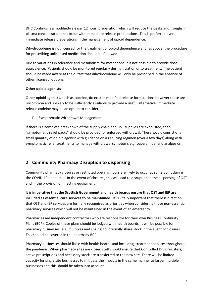DHC Continus is a modified-release (12 hour) preparation which will reduce the peaks and troughs in plasma concentration that occur with immediate release preparations. This is preferred over immediate release preparations in the management of opioid dependence.

Dihydrocodeine is not licensed for the treatment of opioid dependence and, as above, the procedure for prescribing unlicensed medication should be followed.

Due to variations in tolerance and metabolism for methadone it is not possible to provide dose equivalence. Patients should be monitored regularly during titration onto treatment. The patient should be made aware at the outset that dihydrocodeine will only be prescribed in the absence of other, licensed, options.

#### **Other opioid agonists**

Other opioid agonists, such as codeine, do exist in modified release formulations however these are uncommon and unlikely to be sufficiently available to provide a useful alternative. Immediate release codeine may be an option to consider.

F. Symptomatic Withdrawal Management

If there is a complete breakdown of the supply chain and OST supplies are exhausted, then "symptomatic relief packs" should be provided for enforced withdrawal. These would consist of a small quantity of opioid agonist with guidance on a reducing regimen (over a few days) along with symptomatic relief treatments to manage withdrawal symptoms e.g. Loperamide, and analgesics.

# **2 Community Pharmacy Disruption to dispensing**

Community pharmacy closures or restricted opening hours are likely to occur at some point during the COVID-19 pandemic. In the event of closures, this will lead to disruption in the dispensing of OST and in the provision of injecting equipment.

It is **imperative that the Scottish Government and health boards ensure that OST and IEP are included as essential core services to be maintained.** It is vitally important that there is direction that OST and IEP services are formally recognised as priorities when considering those non-essential pharmacy services which will not be maintained in the event of an emergency.

Pharmacies are independent contractors who are responsible for their own Business Continuity Plans (BCP). Copies of these plans should be lodged with health boards. It will be possible for pharmacy businesses (e.g. multiples and chains) to internally share stock in the event of closures. This should be covered in the pharmacy BCP.

Pharmacy businesses should liaise with health boards and local drug treatment services throughout the pandemic. When pharmacy sites are closed staff should ensure that Controlled Drug registers, active prescriptions and necessary stock are transferred to the new site. There will be limited capacity for single site businesses to mitigate the impacts in the same manner as larger multiple businesses and this should be taken into account.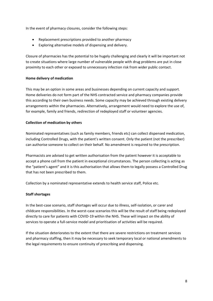In the event of pharmacy closures, consider the following steps:

- Replacement prescriptions provided to another pharmacy
- Exploring alternative models of dispensing and delivery.

Closure of pharmacies has the potential to be hugely challenging and clearly it will be important not to create situations where large number of vulnerable people with drug problems are put in close proximity to each other or exposed to unnecessary infection risk from wider public contact.

#### **Home delivery of medication**

This may be an option in some areas and businesses depending on current capacity and support. Home deliveries do not form part of the NHS contracted service and pharmacy companies provide this according to their own business needs. Some capacity may be achieved through existing delivery arrangements within the pharmacies. Alternatively, arrangement would need to explore the use of, for example, family and friends, redirection of redeployed staff or volunteer agencies.

## **Collection of medication by others**

Nominated representatives (such as family members, friends etc) can collect dispensed medication, including Controlled Drugs, with the patient's written consent. Only the patient (not the prescriber) can authorise someone to collect on their behalf. No amendment is required to the prescription.

Pharmacists are advised to get written authorisation from the patient however it is acceptable to accept a phone call from the patient in exceptional circumstances. The person collecting is acting as the "patient's agent" and it is this authorisation that allows them to legally possess a Controlled Drug that has not been prescribed to them.

Collection by a nominated representative extends to health service staff, Police etc.

#### **Staff shortages**

In the best-case scenario, staff shortages will occur due to illness, self-isolation, or carer and childcare responsibilities. In the worst-case scenarios this will be the result of staff being redeployed directly to care for patients with COVID-19 within the NHS. These will impact on the ability of services to operate a full-service model and prioritisation of activities will be required.

If the situation deteriorates to the extent that there are severe restrictions on treatment services and pharmacy staffing, then it may be necessary to seek temporary local or national amendments to the legal requirements to ensure continuity of prescribing and dispensing.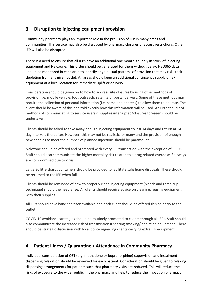# **3 Disruption to injecting equipment provision**

Community pharmacy plays an important role in the provision of IEP in many areas and communities. This service may also be disrupted by pharmacy closures or access restrictions. Other IEP will also be disrupted.

There is a need to ensure that all IEPs have an additional one month's supply in stock of injecting equipment and Naloxone. This order should be generated for them without delay. NEO365 data should be monitored in each area to identify any unusual patterns of provision that may risk stock depletion from any given outlet. All areas should keep an additional contingency supply of IEP equipment at a local location for immediate uplift or delivery.

Consideration should be given on to how to address site closures by using other methods of provision i.e. mobile vehicle, foot outreach, satellite or postal delivery. Some of these methods may require the collection of personal information (i.e. name and address) to allow them to operate. The client should be aware of this and told exactly how this information will be used. An urgent audit of methods of communicating to service users if supplies interrupted/closures foreseen should be undertaken.

Clients should be asked to take away enough injecting equipment to last 14 days and return at 14 day intervals thereafter. However, this may not be realistic for many and the provision of enough new needles to meet the number of planned injections should be paramount.

Naloxone should be offered and promoted with every IEP transaction with the exception of IPEDS. Staff should also communicate the higher mortality risk related to a drug related overdose if airways are compromised due to virus.

Large 30 litre sharps containers should be provided to facilitate safe home disposals. These should be returned to the IEP when full.

Clients should be reminded of how to properly clean injecting equipment (bleach and three cup technique) should the need arise. All clients should receive advice on cleaning/reusing equipment with their supplies.

All IEPs should have hand sanitiser available and each client should be offered this on entry to the outlet.

COVID-19 avoidance strategies should be routinely promoted to clients through all IEPs. Staff should also communicate the increased risk of transmission if sharing smoking/inhalation equipment. There should be strategic discussion with local police regarding clients carrying extra IEP equipment.

# **4 Patient Illness / Quarantine / Attendance in Community Pharmacy**

Individual consideration of OST (e.g. methadone or buprenorphine) supervision and instalment dispensing relaxation should be reviewed for each patient. Consideration should be given to relaxing dispensing arrangements for patients such that pharmacy visits are reduced. This will reduce the risks of exposure to the wider public in the pharmacy and help to reduce the impact on pharmacy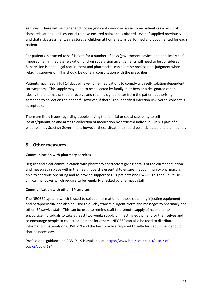services. There will be higher and not insignificant overdose risk in some patients as a result of these relaxations – it is essential to have ensured naloxone is offered - even if supplied previously and that risk assessment, safe storage, children at home, etc. is performed and documented for each patient.

For patients instructed to self-isolate for a number of days (government advice, and not simply selfimposed), an immediate relaxation of drug supervision arrangements will need to be considered. Supervision is not a legal requirement and pharmacists can exercise professional judgment when relaxing supervision. This should be done in consultation with the prescriber.

Patients may need a full 14 days of take-home medications to comply with self-isolation dependent on symptoms. This supply may need to be collected by family members or a designated other. Ideally the pharmacist should receive and retain a signed letter from the patient authorising someone to collect on their behalf. However, if there is an identified infection risk, verbal consent is acceptable.

There are likely issues regarding people having the familial or social capability to selfisolate/quarantine and arrange collection of medication by a trusted individual. This is part of a wider plan by Scottish Government however these situations should be anticipated and planned for.

## **5 Other measures**

#### **Communication with pharmacy services**

Regular and clear communication with pharmacy contractors giving details of the current situation and measures in place within the health board is essential to ensure that community pharmacy is able to continue operating and to provide support to OST patients and PWUD. This should utilise clinical mailboxes which require to be regularly checked by pharmacy staff.

#### **Communication with other IEP services**

The NEO360 system, which is used to collect information on those obtaining injecting equipment and paraphernalia, can also be used to quickly transmit urgent alerts and messages to pharmacy and other IEP service staff. This can be used to remind staff to promote supply of naloxone, to encourage individuals to take at least two weeks supply of injecting equipment for themselves and to encourage people to collect equipment for others. NEO360 can also be used to distribute information materials on COVID-19 and the best practice required to self-clean equipment should that be necessary.

Professional guidance on COVID-19 is available at: https://www.hps.scot.nhs.uk/a-to-z-oftopics/covid-19/